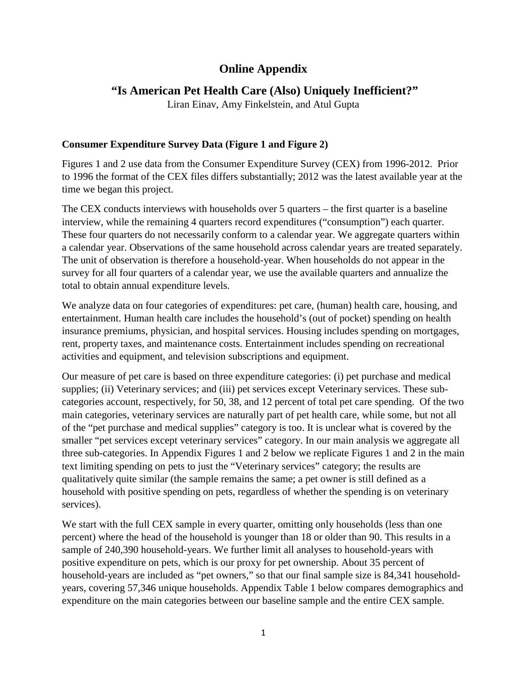# **Online Appendix**

# **"Is American Pet Health Care (Also) Uniquely Inefficient?"**

Liran Einav, Amy Finkelstein, and Atul Gupta

## **Consumer Expenditure Survey Data (Figure 1 and Figure 2)**

Figures 1 and 2 use data from the Consumer Expenditure Survey (CEX) from 1996-2012. Prior to 1996 the format of the CEX files differs substantially; 2012 was the latest available year at the time we began this project.

The CEX conducts interviews with households over 5 quarters – the first quarter is a baseline interview, while the remaining 4 quarters record expenditures ("consumption") each quarter. These four quarters do not necessarily conform to a calendar year. We aggregate quarters within a calendar year. Observations of the same household across calendar years are treated separately. The unit of observation is therefore a household-year. When households do not appear in the survey for all four quarters of a calendar year, we use the available quarters and annualize the total to obtain annual expenditure levels.

We analyze data on four categories of expenditures: pet care, (human) health care, housing, and entertainment. Human health care includes the household's (out of pocket) spending on health insurance premiums, physician, and hospital services. Housing includes spending on mortgages, rent, property taxes, and maintenance costs. Entertainment includes spending on recreational activities and equipment, and television subscriptions and equipment.

Our measure of pet care is based on three expenditure categories: (i) pet purchase and medical supplies; (ii) Veterinary services; and (iii) pet services except Veterinary services. These subcategories account, respectively, for 50, 38, and 12 percent of total pet care spending. Of the two main categories, veterinary services are naturally part of pet health care, while some, but not all of the "pet purchase and medical supplies" category is too. It is unclear what is covered by the smaller "pet services except veterinary services" category. In our main analysis we aggregate all three sub-categories. In Appendix Figures 1 and 2 below we replicate Figures 1 and 2 in the main text limiting spending on pets to just the "Veterinary services" category; the results are qualitatively quite similar (the sample remains the same; a pet owner is still defined as a household with positive spending on pets, regardless of whether the spending is on veterinary services).

We start with the full CEX sample in every quarter, omitting only households (less than one percent) where the head of the household is younger than 18 or older than 90. This results in a sample of 240,390 household-years. We further limit all analyses to household-years with positive expenditure on pets, which is our proxy for pet ownership. About 35 percent of household-years are included as "pet owners," so that our final sample size is 84,341 householdyears, covering 57,346 unique households. Appendix Table 1 below compares demographics and expenditure on the main categories between our baseline sample and the entire CEX sample.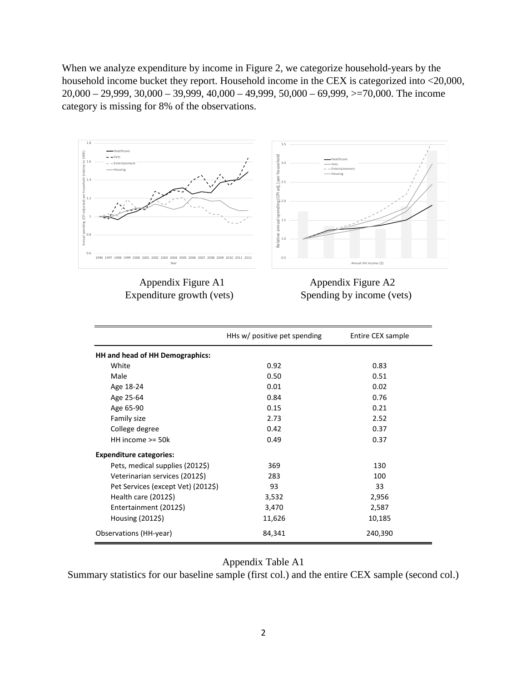When we analyze expenditure by income in Figure 2, we categorize household-years by the household income bucket they report. Household income in the CEX is categorized into <20,000,  $20,000 - 29,999, 30,000 - 39,999, 40,000 - 49,999, 50,000 - 69,999, \geq 70,000$ . The income category is missing for 8% of the observations.



Appendix Figure A1 Appendix Figure A2 Expenditure growth (vets) Spending by income (vets)

|                                    | HHs w/ positive pet spending | Entire CEX sample |
|------------------------------------|------------------------------|-------------------|
| HH and head of HH Demographics:    |                              |                   |
| White                              | 0.92                         | 0.83              |
| Male                               | 0.50                         | 0.51              |
| Age 18-24                          | 0.01                         | 0.02              |
| Age 25-64                          | 0.84                         | 0.76              |
| Age 65-90                          | 0.15                         | 0.21              |
| Family size                        | 2.73                         | 2.52              |
| College degree                     | 0.42                         | 0.37              |
| HH income $>=$ 50 $k$              | 0.49                         | 0.37              |
| <b>Expenditure categories:</b>     |                              |                   |
| Pets, medical supplies (2012\$)    | 369                          | 130               |
| Veterinarian services (2012\$)     | 283                          | 100               |
| Pet Services (except Vet) (2012\$) | 93                           | 33                |
| Health care $(2012\$ )             | 3,532                        | 2,956             |
| Entertainment (2012\$)             | 3,470                        | 2,587             |
| Housing (2012\$)                   | 11,626                       | 10,185            |
| Observations (HH-year)             | 84,341                       | 240,390           |

### Appendix Table A1

Summary statistics for our baseline sample (first col.) and the entire CEX sample (second col.)